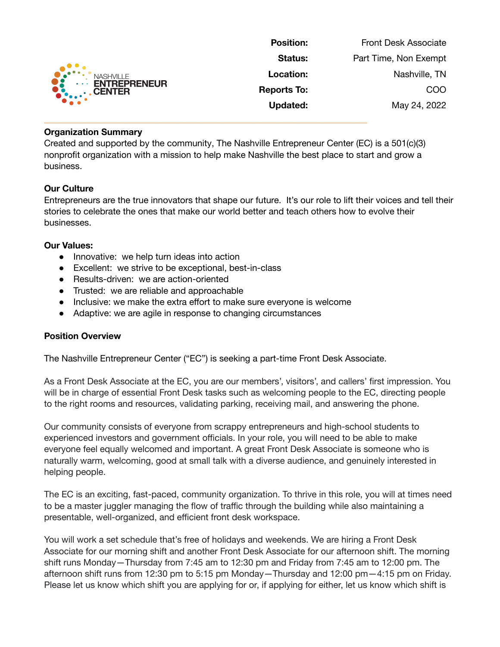

**Position:** Front Desk Associate **Status:** Part Time, Non Exempt **Location:** Nashville, TN **Reports To:** COO **Updated:** May 24, 2022

### **Organization Summary**

Created and supported by the community, The Nashville Entrepreneur Center (EC) is a 501(c)(3) nonprofit organization with a mission to help make Nashville the best place to start and grow a business.

#### **Our Culture**

Entrepreneurs are the true innovators that shape our future. It's our role to lift their voices and tell their stories to celebrate the ones that make our world better and teach others how to evolve their businesses.

#### **Our Values:**

- Innovative: we help turn ideas into action
- Excellent: we strive to be exceptional, best-in-class
- Results-driven: we are action-oriented
- Trusted: we are reliable and approachable
- Inclusive: we make the extra effort to make sure everyone is welcome

**\_\_\_\_\_\_\_\_\_\_\_\_\_\_\_\_\_\_\_\_\_\_\_\_\_\_\_\_\_\_\_\_\_\_\_\_\_\_\_\_\_\_\_\_\_\_\_\_\_\_\_\_\_\_\_\_\_\_\_\_\_\_\_\_\_\_\_\_\_\_\_\_**

● Adaptive: we are agile in response to changing circumstances

### **Position Overview**

The Nashville Entrepreneur Center ("EC") is seeking a part-time Front Desk Associate.

As a Front Desk Associate at the EC, you are our members', visitors', and callers' first impression. You will be in charge of essential Front Desk tasks such as welcoming people to the EC, directing people to the right rooms and resources, validating parking, receiving mail, and answering the phone.

Our community consists of everyone from scrappy entrepreneurs and high-school students to experienced investors and government officials. In your role, you will need to be able to make everyone feel equally welcomed and important. A great Front Desk Associate is someone who is naturally warm, welcoming, good at small talk with a diverse audience, and genuinely interested in helping people.

The EC is an exciting, fast-paced, community organization. To thrive in this role, you will at times need to be a master juggler managing the flow of traffic through the building while also maintaining a presentable, well-organized, and efficient front desk workspace.

You will work a set schedule that's free of holidays and weekends. We are hiring a Front Desk Associate for our morning shift and another Front Desk Associate for our afternoon shift. The morning shift runs Monday—Thursday from 7:45 am to 12:30 pm and Friday from 7:45 am to 12:00 pm. The afternoon shift runs from 12:30 pm to 5:15 pm Monday—Thursday and 12:00 pm—4:15 pm on Friday. Please let us know which shift you are applying for or, if applying for either, let us know which shift is